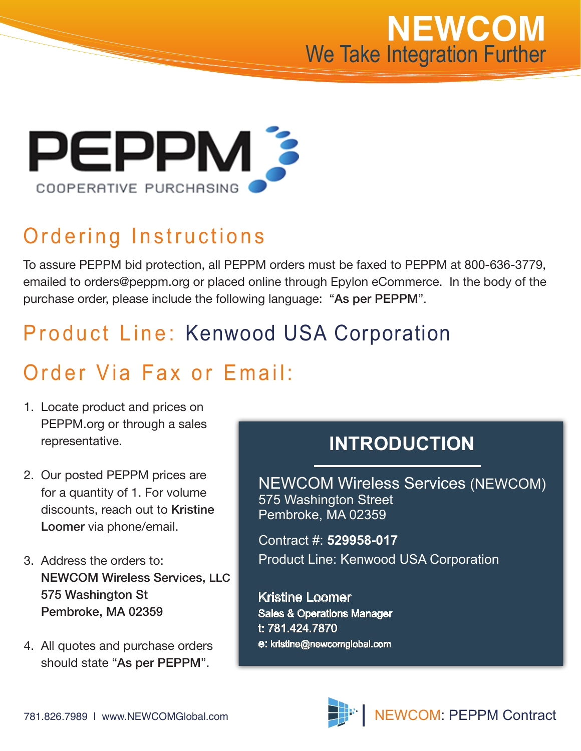



### Ordering Instructions

To assure PEPPM bid protection, all PEPPM orders must be faxed to PEPPM at 800-636-3779, emailed to orders@peppm.org or placed online through Epylon eCommerce. In the body of the purchase order, please include the following language: "As per PEPPM".

### Product Line: Kenwood USA Corporation

#### Order Via Fax or Email:

- 1. Locate product and prices on PEPPM.org or through a sales representative.
- 2. Our posted PEPPM prices are for a quantity of 1. For volume discounts, reach out to Kristine Loomer via phone/email.
- 3. Address the orders to: NEWCOM Wireless Services, LLC 575 Washington St Pembroke, MA 02359
- 4. All quotes and purchase orders should state "As per PEPPM".

#### **INTRODUCTION**

NEWCOM Wireless Services (NEWCOM) 575 Washington Street Pembroke, MA 02359

Contract #: **529958-017** Product Line: Kenwood USA Corporation

Kristine Loomer Sales & Operations Manager t: 781.424.7870 e: kristine@newcomglobal.com

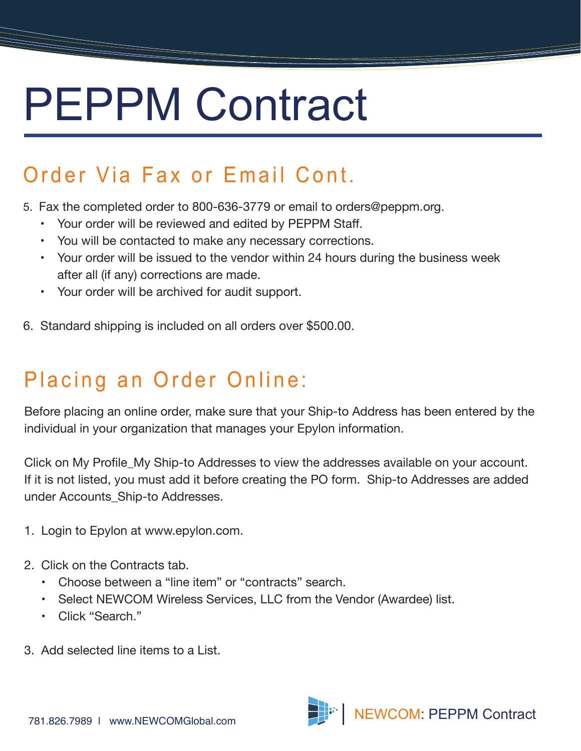## PEPPM Contract

### Order Via Fax or Email Cont.

- 5. Fax the completed order to 800-636-3779 or email to orders@peppm.org.
	- Your order will be reviewed and edited by PEPPM Staff.
	- You will be contacted to make any necessary corrections.
	- Your order will be issued to the vendor within 24 hours during the business week after all (if any) corrections are made.
	- Your order will be archived for audit support.
- 6. Standard shipping is included on all orders over \$500.00.

### Placing an Order Online:

Before placing an online order, make sure that your Ship-to Address has been entered by the individual in your organization that manages your Epylon information.

Click on My Profile\_My Ship-to Addresses to view the addresses available on your account. If it is not listed, you must add it before creating the PO form. Ship-to Addresses are added under Accounts\_Ship-to Addresses.

- 1. Login to Epylon at www.epylon.com.
- 2. Click on the Contracts tab.
	- Choose between a "line item" or "contracts" search.
	- Select NEWCOM Wireless Services, LLC from the Vendor (Awardee) list.
	- Click "Search."
- 3. Add selected line items to a List.